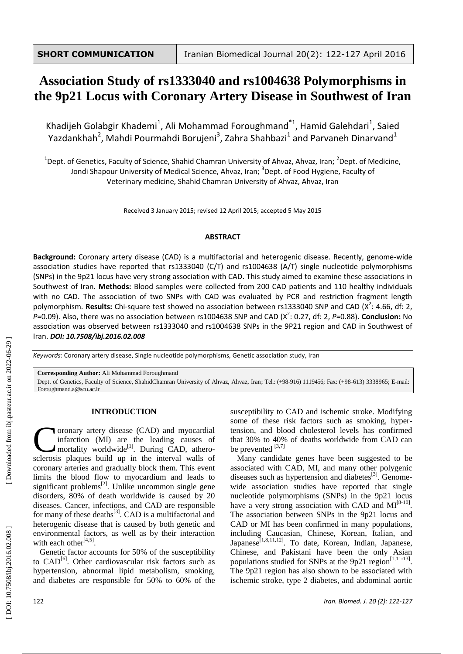# **Association Study of rs1333040 and rs1004638 Polymorphisms in the 9p21 Locus with Coronary Artery Disease in Southwest of Iran**

Khadijeh Golabgir Khademi<sup>1</sup>, Ali Mohammad Foroughmand<sup>\*1</sup>, Hamid Galehdari<sup>1</sup>, Saied Yazdankhah<sup>2</sup>, Mahdi Pourmahdi Borujeni<sup>3</sup>, Zahra Shahbazi<sup>1</sup> and Parvaneh Dinarvand<sup>1</sup>

<sup>1</sup>Dept. of Genetics, Faculty of Science, Shahid Chamran University of Ahvaz, Ahvaz, Iran; <sup>2</sup>Dept. of Medicine, Jondi Shapour University of Medical Science, Ahvaz, Iran; <sup>3</sup>Dept. of Food Hygiene, Faculty of Veterinary medicine, Shahid Chamran University of Ahvaz, Ahvaz, Iran

Received 3 January 2015; revised 12 April 2015; accepted 5 May 2015

#### **ABSTRACT**

Background: Coronary artery disease (CAD) is a multifactorial and heterogenic disease. Recently, genome-wide association studies have reported that rs1333040 (C/T) and rs1004638 (A/T) single nucleotide polymorphisms (SNPs) in the 9p21 locus have very strong association with CAD. This study aimed to examine these associations in Southwest of Iran. **Methods:** Blood samples were collected from 200 CAD patients and 110 healthy individuals with no CAD. The association of two SNPs with CAD was evaluated by PCR and restriction fragment length polymorphism. Results: Chi-square test showed no association between rs1333040 SNP and CAD (X<sup>2</sup>: 4.66, df: 2, P=0.09). Also, there was no association between rs1004638 SNP and CAD (X<sup>2</sup>: 0.27, df: 2, P=0.88). **Conclusion:** No association was observed between rs1333040 and rs1004638 SNPs in the 9P21 region and CAD in Southwest of Iran. *DOI: 10 .7508/ibj.2016.02.008*

Keywords: Coronary artery disease, Single nucleotide polymorphisms, Genetic association study, Iran

**Corresponding Author:** Ali Mohammad Foroughmand

Dept. of Genetics, Faculty of Science, ShahidChamran University of Ahvaz, Ahvaz, Iran; Tel.: (+98-916) 1119456; Fax: (+98-613) 3338965; E-mail: Foroughmand.a@scu.ac.ir

## **INTRODUCTION**

oronary artery disease (CAD) and myocardial infarction (MI) are the leading cause s of mortality worldwide<sup>[1]</sup>. During CAD, athero-Coronary artery disease (CAD) and myocardial infarction (MI) are the leading causes of mortality worldwide<sup>[1]</sup>. During CAD, atherosclerosis plaques build up in the interval walls of coronary arteries and gradually block them. This event limit s the blood flow to myocardium and leads to significant problems $^{[2]}$ . Unlike uncommon single gene disorders, 80 % of death worldwide is caused by 20 diseases. Cancer, infections , and CAD are responsible for many of these deaths<sup>[3]</sup>. CAD is a multifactorial and heterogenic disease that is caused by both genetic and environmental factors , as well as by their interaction with each other $^{[4,5]}$ .

Genetic factor accounts for 50 % of the susceptibility to CAD<sup>[6]</sup>. Other cardiovascular risk factors such as hypertension, abnormal lipid metabolism, smoking , and diabetes are responsible for 50 % to 60 % of the

susceptibility to CAD and ischemic stroke. Modifying some of these risk factors such as smoking, hyper tension , and blood cholesterol levels has confirmed that 30% to 40% of deaths worldwide from CAD can be prevented  $[3,7]$ 

Many candidate genes have been suggested to be associated with CAD, MI , and many other polygenic diseases such as hypertension and diabetes<sup>[3]</sup>. Genomewide association studies have reported that single nucleotide polymorphisms (SNPs) in the 9p21 locus have a very strong association with CAD and  $MI^{[8-10]}$ . The association between SNPs in the 9p21 locus and CAD or MI has been confirmed in many populations, including Caucasian, Chinese, Korean, Italian , and Japanese<sup>[1,8,11,12]</sup>. To date, Korean, Indian, Japanese, Chinese , and Pakistani have been the only Asian populations studied for SNPs at the  $9p21$  region<sup>[1,11-13]</sup>. The 9p21 region has also shown to be associated with ischemic stroke, type 2 diabetes , and abdominal aortic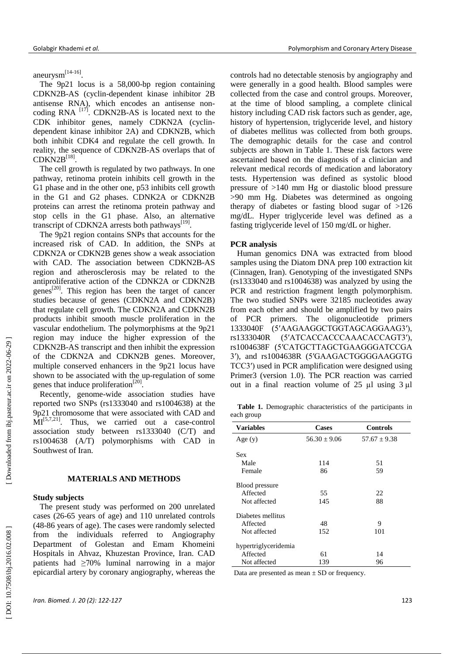Golabgir Khademi *et al.* Polymorphism and Coronary Artery Disease

aneurysm<sup>[14-16]</sup>.

The 9p21 locus is a 58 ,000 -bp region containing CDKN2B -AS (cyclin -dependent kinase inhibitor 2 B antisense RNA), which encodes an antisense non coding RNA  $^{[17]}$ . CDKN2B-AS is located next to the CDK inhibitor genes, namely CDKN2A (cyclin dependent kinase inhibitor 2A) and CDKN2B, which both inhibit CDK4 and regulate the cell growth. In reality, the sequence of CDKN2B -AS overlaps that of  $CDKN2B^{[18]}.$ 

The cell growth is regulated by two pathways. In one pathway, retinoma protein inhibits cell growth in the G1 phase and in the other one, p53 inhibits cell growth in the G1 and G2 phases. CDNK2A or CDKN2B proteins can arrest the retinoma protein pathway and stop cells in the G1 phase. Also, an alternative transcript of CDKN2A arrests both pathways<sup>[19]</sup>.

The 9p21 region contains SNPs that accounts for the increased risk of CAD. In addition, the SNPs at CDKN2A or CDKN2B genes show a weak association with CAD. The association between CDKN2B -AS region and atherosclerosis may be related to the antiproliferative action of the CDNK2A or CDKN2B genes<sup>[20]</sup>. This region has been the target of cancer studies because of genes (CDKN2A and CDKN2B) that regulate cell growth. The CDKN2A and CDKN2B products inhibit smooth muscle proliferation in the vascular endothelium. The polymorphisms at the 9p21 region may induce the higher expression of the CDKN2B -AS transcript and then inhibit the expression of the CDKN2A and CDKN2B genes. Moreover, multiple conserved enhancers in the 9p21 locus have shown to be associated with the up-regulation of some genes that induce proliferation<sup>[20]</sup>.

Recently, genome - wide association studies have reported two SNPs (rs1333040 and rs1004638) at the 9p21 chromosome that were associated with CAD and  $\rm \dot{MI}^{[5,7,21]}$ . Thus, we carried out a case -control association study between rs1333040 (C/T) and rs1004638 (A/T) polymorphisms with CAD in Southwest of Iran.

### **MATERIALS AND METHODS**

#### **Study subjects**

The present study was performed on 200 unrelated case s (26 -65 years of age) and 110 unrelated control s (48 -86 years of age ). The cases were randomly selected from the individuals referred to Angiography Department of Golestan and Emam Khomeini Hospitals in Ahvaz, Khuzestan Province, Iran. CAD patients had ≥70% luminal narrowing in a major epicardial artery by coronary angiography, whereas the

controls had no detectable stenosis by angiography and were generally in a good health. Blood samples were collected from the case and control groups. Moreover, at the time of blood sampling, a complete clinical history including CAD risk factors such as gender, age, history of hypertension, triglyceride level, and history of diabetes mellitus was collected from both groups. The demographic details for the case and control subjects are shown in Table 1 . These risk factors were ascertained based on the diagnosis of a clinician and relevant medical records of medication and laboratory tests. Hypertension was defined as systolic blood pressure of >140 mm Hg or diastolic blood pressure >90 mm Hg . Diabetes was determined as ongoing therapy of diabetes or fasting blood sugar of >126 mg/dL. Hyper triglyceride level was defined as a fasting triglyceride level of 150 mg/dL or higher.

#### **PCR analysis**

Human genomics DNA was extracted from blood samples using the Diatom DNA prep 100 extraction kit (Cinnagen, Iran). Genotyping of the investigated SNPs (rs1333040 and rs1004638) was analyzed by using the PCR and restriction fragment length polymorphism. The two studied SNPs were 32185 nucleotides away from each other and should be amplified by two pairs of PCR primers. The oligonucleotide primers 1333040F (5′AAGAAGGCTGGTAGCAGGAAG3′), rs1333040R (5′ATCACCACCCAAACACCAGT3′), rs1004638F (5′CATGCTTAGCTGAAGGGATCCGA 3′), and rs1004638R (5′GAAGACTGGGGAAGGTG TCC3′) used in PCR amplification were designed using Primer3 (version 1.0). The PCR reaction was carried out in a final reaction volume of  $25 \mu l$  using  $3 \mu l$ 

 **Table 1.** Demographic characteristics of the participants in each group

| <b>Variables</b>     | Cases            | <b>Controls</b>  |  |  |
|----------------------|------------------|------------------|--|--|
| Age(y)               | $56.30 \pm 9.06$ | $57.67 \pm 9.38$ |  |  |
| <b>Sex</b>           |                  |                  |  |  |
| Male                 | 114              | 51               |  |  |
| Female               | 86               | 59               |  |  |
| Blood pressure       |                  |                  |  |  |
| Affected             | 55               | 22               |  |  |
| Not affected         | 145              | 88               |  |  |
| Diabetes mellitus    |                  |                  |  |  |
| Affected             | 48               | 9                |  |  |
| Not affected         | 152              | 101              |  |  |
| hypertriglyceridemia |                  |                  |  |  |
| Affected             | 61               | 14               |  |  |
| Not affected         | 139              | 96               |  |  |

Data are presented as mean  $\pm$  SD or frequency.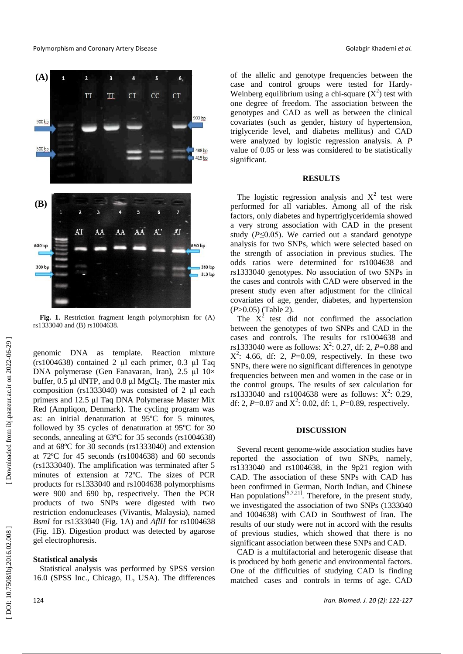

**Fig. 1.** Restriction fragment length polymorphism for (A) rs1333040 and (B) rs1004638.

genomic DNA as template. Reaction mixture  $(rs1004638)$  contained 2 µl each primer, 0.3 µl Taq DNA polymerase (Gen Fanavaran, Iran),  $2.5 \text{ }\mu\text{l}$   $10 \times$ buffer,  $0.5 \mu l$  dNTP, and  $0.8 \mu l$  MgCl<sub>2</sub>. The master mix composition ( $rs1333040$ ) was consisted of 2  $\mu$ l each primers and 12.5 µl Taq DNA Polymerase Master Mix Red (Ampliqon, Denmark). The cycling program was as: an initial denaturation at 95 º C for 5 minutes, followed by 35 cycles of denaturation at 95°C for 30 seconds, annealing at 63°C for 35 seconds (rs1004638) and at 68 º C for 30 seconds (rs1333040) and extension at 72ºC for 45 seconds (rs1004638 ) and 60 seconds (rs1333040). The amplification was terminated after 5 minutes of extension at 72 º C. The size s of PCR products for rs1333040 and rs1004638 polymorphisms were 900 and 690 bp, respectively. Then the PCR products of two SNPs were digested with two restriction endonucleases (Vivantis, Malaysia ), named *Bsm I* for rs1333040 (Fig. 1 A) and *AflII* for rs1004638 (Fig. 1B). Digestion product was detected by agarose gel electrophoresis.

### **Statistical analysis**

Statistical analysis was performed by SPSS version 16.0 (SPSS Inc., Chicago, IL, USA). The differences of the allelic and genotype frequencies between the case and control groups were tested for Hardy - Weinberg equilibrium using a chi-square  $(X^2)$  test with one degree of freedom. The association between the genotypes and CAD as well as between the clinical covariates (such as gender, history of hypertension, triglyceride level, and diabetes mellitus) and CAD were analyzed by logistic regression analysis. A *P* value of 0.05 or less was considered to be statistically significant .

## **RESULTS**

The logistic regression analysis and  $X^2$  test were performed for all variables. Among all of the risk factors, only d iabetes and hypertriglyceridemia showed a very strong association with CAD in the present study  $(P \le 0.05)$ . We carried out a standard genotype analysis for two SNPs , which were selected based on the strength of association in previous studies. The odds ratios were determined for rs1004638 and rs1333040 genotypes. No association of two SNPs in the cases and controls with CAD were observed in the present study even after adjustment for the clinical covariates of age, gender, diabetes , and hypertension ( *P*>0.05) (Table 2).

The  $X^2$  test did not confirmed the association between the genotypes of two SNPs and CAD in the cases and controls. The results for rs1004638 and rs1333040 were as follows:  $X^2$ : 0.27, df: 2, P=0.88 and  $X^2$ : 4.66, df: 2,  $P=0.09$ , respectively. In these two SNPs, there were no significant differences in genotype frequencies between men and women in the case or in the control groups. The results of sex calculation for rs1333040 and rs1004638 were as follows:  $X^2$ : 0.29, df: 2,  $P=0.87$  and  $X^2$ : 0.02, df: 1,  $P=0.89$ , respectively.

## **DISCUSSION**

Several recent genome -wide association studies have reported the association of two SNPs, namely, rs1333040 and rs1004638 , in the 9p21 region with CAD. The association of these SNPs with CAD has been confirmed in German , North Indian , and Chinese Han populations $[5,7,21]$ . Therefore, in the present study, we investigated the association of two SNPs (1333040 and 1004638) with CAD in Southwest of Iran. The results of our study were not in accord with the result s of previous studies, which showed that there is no significant association between these SNPs and CAD.

CAD is a multifactorial and heterogenic disease that is produced by both genetic and environmental factors. One of the difficulties of studying CAD is finding matched cases and controls in terms of age. CAD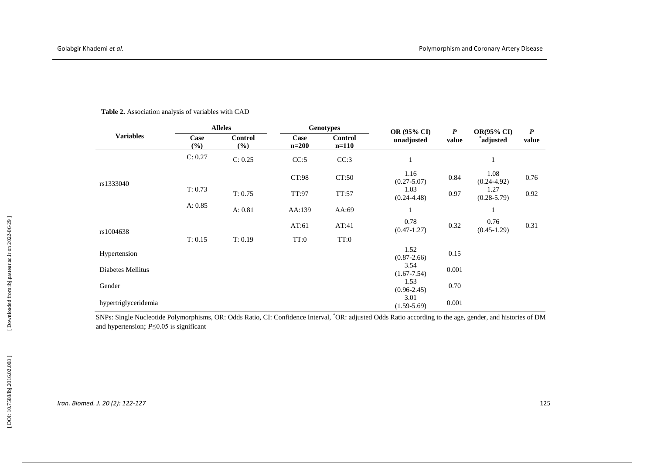| <b>Variables</b>     | <b>Alleles</b> |                       | <b>Genotypes</b> |                           | <b>OR (95% CI)</b>      | $\boldsymbol{P}$ | <b>OR(95% CI)</b>       | $\boldsymbol{P}$ |
|----------------------|----------------|-----------------------|------------------|---------------------------|-------------------------|------------------|-------------------------|------------------|
|                      | Case<br>$(\%)$ | <b>Control</b><br>(%) | Case<br>$n=200$  | <b>Control</b><br>$n=110$ | unadjusted              | value            | *adjusted               | value            |
| rs1333040            | C: 0.27        | C: 0.25               | CC:5             | CC:3                      | $\mathbf{1}$            |                  | 1                       |                  |
|                      |                |                       | CT:98            | CT:50                     | 1.16<br>$(0.27 - 5.07)$ | 0.84             | 1.08<br>$(0.24 - 4.92)$ | 0.76             |
|                      | T: 0.73        | T: 0.75               | TT:97            | TT:57                     | 1.03<br>$(0.24 - 4.48)$ | 0.97             | 1.27<br>$(0.28 - 5.79)$ | 0.92             |
|                      | A: 0.85        | A: 0.81               | AA:139           | AA:69                     | 1                       |                  | 1                       |                  |
| rs1004638            |                |                       | AT:61            | AT:41                     | 0.78<br>$(0.47 - 1.27)$ | 0.32             | 0.76<br>$(0.45 - 1.29)$ | 0.31             |
|                      | T: 0.15        | T: 0.19               | TT:0             | TT:0                      |                         |                  |                         |                  |
| Hypertension         |                |                       |                  |                           | 1.52<br>$(0.87 - 2.66)$ | 0.15             |                         |                  |
| Diabetes Mellitus    |                |                       |                  |                           | 3.54<br>$(1.67 - 7.54)$ | 0.001            |                         |                  |
| Gender               |                |                       |                  |                           | 1.53<br>$(0.96 - 2.45)$ | 0.70             |                         |                  |
| hypertriglyceridemia |                |                       |                  |                           | 3.01<br>$(1.59 - 5.69)$ | 0.001            |                         |                  |

Table 2. Association analysis of variables with CAD

SNPs: Single Nucleotide Polymorphisms, OR: Odds Ratio, CI: Confidence Interval, <sup>\*</sup>OR: adjusted Odds Ratio according to the age, gender, and histories of DM and hypertension; *P*≤0.05 is significant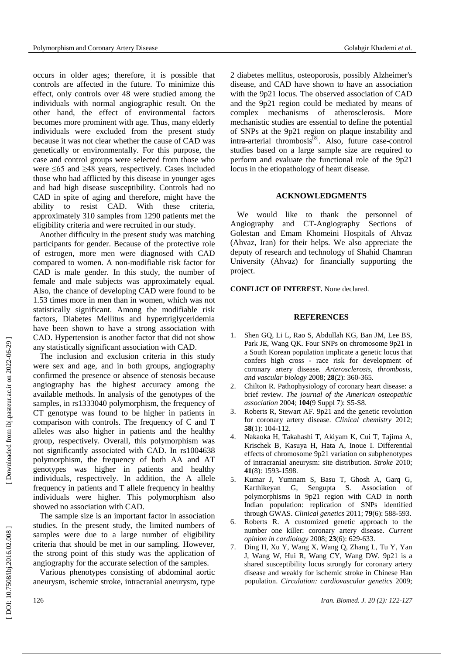occurs in older ages; therefore, it is possible that controls are affected in the future. To minimize this effect, only controls over 48 were studied among the individuals with normal angiographic result. On the other hand, the effect of environmental factors become s more prominent with age. Thus, many elderly individuals were excluded from the present study because it was not clear whether the cause of CAD was genetically or environmentally. For this purpose, the case and control groups were selected from those who were ≤65 and ≥48 years, respectively . Cases included those who had afflicted by this disease in younger ages and had high disease susceptibility. Controls had no CAD in spite of aging and therefore, might have the ability to resist CAD. With these criteria, approximately 310 samples from 1290 patients met the eligibility criteria and were recruited in our study .

Another difficulty in the present study was matching participants for gender . Because of the protective role of estrogen, more men were diagnosed with CAD compared to women. A non -modifiable risk factor for CAD is male gender. In this study, the number of female and male subjects was approximately equal . Also , the chance of developing CAD were found to be 1.53 times more in men than in women, which was not statistically significant. Among the modifiable risk factors, Diabetes Mellitus and hypertriglyceridemia have been shown to have a strong association with CAD. Hypertension is another factor that did not show any statistically significant association with CAD .

The inclusion and exclusion criteria in this study were sex and age, and in both groups, angiography confirmed the presence or absence of stenosis because angiography has the highest accuracy among the available methods . In analysis of the genotypes of the samples, in rs1333040 polymorphism, the frequency of CT genotype was found to be higher in patients in comparison with controls. The frequency of C and T alleles was also higher in patients and the healthy group, respectively. Overall, this polymorphism was not significantly associated with CAD. In rs1004638 polymorphism, the frequency of both AA and AT genotypes was higher in patients and healthy individuals, respectively. In addition, the A allele frequency in patients and T allele frequency in healthy individuals were higher. This polymorphism also showed no association with CAD .

The sample size is an important factor in association studies. In the present study, the limited numbers of samples were due to a large number of eligibility criteria that should be met in our sampling. However, the strong point of this study was the application of angiography for the accurate selection of the samples.

Various phenotypes consisting of abdominal aortic aneurysm, ischemic stroke, intracranial aneurysm, type 2 diabetes mellitus, osteoporosis, possibly Alzheimer's disease, and CAD have shown to have an association with the 9p21 locus. The observed association of CAD and the 9p21 region could be mediated by means of complex mechanisms of atherosclerosis. More mechanistic studies are essential to define the potential of SNPs at the 9p21 region on plaque instability and intra-arterial thrombosis<sup>[8]</sup>. Also, future case-control studies based on a large sample size are required to perform and evaluate the functional role of the 9p21 locus in the etiopathology of heart disease.

### **ACKNOWLEDGMENTS**

We would like to thank the personnel of Angiography and CT -Angiography Sections of Golestan and Emam Khomeini Hospitals of Ahvaz (Ahvaz, Iran) for their helps. We also appreciate the deputy of research and technology of Shahid Chamran University (Ahvaz) for financially supporting the project.

**CONFLICT OF INTEREST.** None declared.

## **REFERENCES**

- 1 . Shen GQ, Li L, Rao S, Abdullah K G, Ban J M, Lee BS, Park JE, Wang QK. Four SNPs on chromosome 9p21 in a South Korean population implicate a genetic locus that confers high cross - race risk for development of coronary artery disease*. Arterosclerosis, thrombosis, and vascular biology* 2008 ; **28**(2) : 360 -365.
- $2^{\circ}$ . Chilton R . Pathophysiology of coronary heart disease: a brief review. *The journal of the American osteopathic*  association 2004; 104(9 Suppl 7): S5-S8.
- 3. . Roberts R, Stewart AF. 9p21 and the genetic revolution for coronary artery disease. *Clinical chemistry* 2012 ; **58**(1): 104 - 112.
- 4 . Nakaoka H, Takahashi T, Akiyam K, Cui T, Tajima A, effects of chromosome 9p21 variation on subphenotypes of intracranial aneurysm: site distribution*. Stroke* 2010 ; **41**(8) : 1593 -1598.
- 5 . Kumar J, Yumnam S, Basu T, Ghosh A, Garq G, Karthikeyan G, Sengupta S. Association of polymorphisms in 9p21 region with CAD in north Indian population: replication of SNPs identified through GWAS. *Clinical genetics* 2011 ; **79**(6) : 588 - 593.
- 6 . Roberts R . A customized genetic approach to the number one killer: coronary artery disease. *Current opinion in cardiology* 2008 ; **23**(6) : 629 - 633.
- 7 . Ding H, Xu Y, Wang X, Wang Q, Zhang L, Tu Y, Yan J, Wang W, Hui R, Wang CY, Wang DW. 9p21 is a shared susceptibility locus strongly for coronary artery disease and weakly for ischemic stroke in Chinese Han population . *Circulation: cardiovascular genetics* 2009 ;

[Downloaded from ibj.pasteur.ac.ir on 2022-06-29]